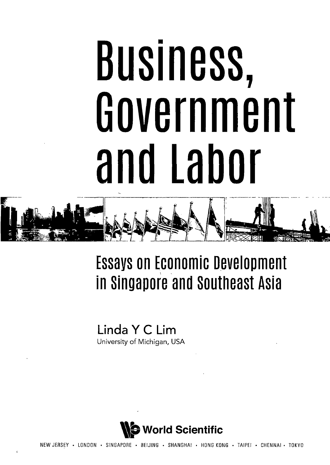## **Business, Government and Labor**

## **Essays on Economic Development in Singapore and southeast Asia**

**Linda Y C Lim** University of Michigan, USA



• LONDON • SINGAPORE • BEIJING • SHANGHAI • HONG KONG • TAIPEI • CHENNAI • TOKYO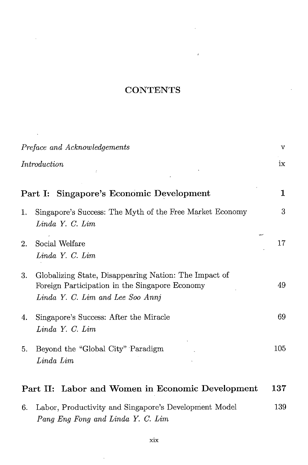## **CONTENTS**

 $\epsilon$ 

l,

 $\ddot{\phantom{0}}$ 

| Preface and Acknowledgements                            |                                                                                                                                             | V            |
|---------------------------------------------------------|---------------------------------------------------------------------------------------------------------------------------------------------|--------------|
|                                                         | Introduction                                                                                                                                | ix           |
|                                                         | <b>Singapore's Economic Development</b><br>Part I:                                                                                          | $\mathbf{1}$ |
| 1.                                                      | Singapore's Success: The Myth of the Free Market Economy<br>Linda Y. C. Lim                                                                 | 3            |
| 2.                                                      | Social Welfare<br>Linda Y. C. Lim                                                                                                           | 17           |
| 3.                                                      | Globalizing State, Disappearing Nation: The Impact of<br>Foreign Participation in the Singapore Economy<br>Linda Y. C. Lim and Lee Soo Annj | 49           |
| 4.                                                      | Singapore's Success: After the Miracle<br>Linda Y. C. Lim                                                                                   | 69           |
| 5.                                                      | Beyond the "Global City" Paradigm<br>Linda Lim                                                                                              | 105          |
| 137<br>Part II: Labor and Women in Economic Development |                                                                                                                                             |              |
| 6.                                                      | Labor, Productivity and Singapore's Development Model<br>Pang Eng Fong and Linda Y. C. Lim                                                  | 139          |

 $\ddot{\phantom{1}}$